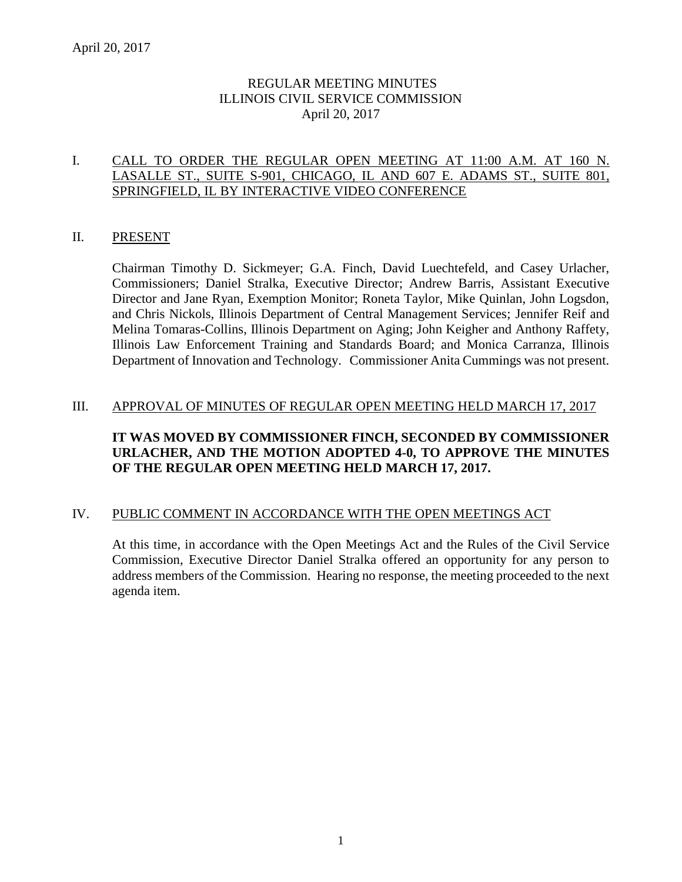# REGULAR MEETING MINUTES ILLINOIS CIVIL SERVICE COMMISSION April 20, 2017

#### I. CALL TO ORDER THE REGULAR OPEN MEETING AT 11:00 A.M. AT 160 N. LASALLE ST., SUITE S-901, CHICAGO, IL AND 607 E. ADAMS ST., SUITE 801, SPRINGFIELD, IL BY INTERACTIVE VIDEO CONFERENCE

### II. PRESENT

Chairman Timothy D. Sickmeyer; G.A. Finch, David Luechtefeld, and Casey Urlacher, Commissioners; Daniel Stralka, Executive Director; Andrew Barris, Assistant Executive Director and Jane Ryan, Exemption Monitor; Roneta Taylor, Mike Quinlan, John Logsdon, and Chris Nickols, Illinois Department of Central Management Services; Jennifer Reif and Melina Tomaras-Collins, Illinois Department on Aging; John Keigher and Anthony Raffety, Illinois Law Enforcement Training and Standards Board; and Monica Carranza, Illinois Department of Innovation and Technology. Commissioner Anita Cummings was not present.

#### III. APPROVAL OF MINUTES OF REGULAR OPEN MEETING HELD MARCH 17, 2017

# **IT WAS MOVED BY COMMISSIONER FINCH, SECONDED BY COMMISSIONER URLACHER, AND THE MOTION ADOPTED 4-0, TO APPROVE THE MINUTES OF THE REGULAR OPEN MEETING HELD MARCH 17, 2017.**

#### IV. PUBLIC COMMENT IN ACCORDANCE WITH THE OPEN MEETINGS ACT

At this time, in accordance with the Open Meetings Act and the Rules of the Civil Service Commission, Executive Director Daniel Stralka offered an opportunity for any person to address members of the Commission. Hearing no response, the meeting proceeded to the next agenda item.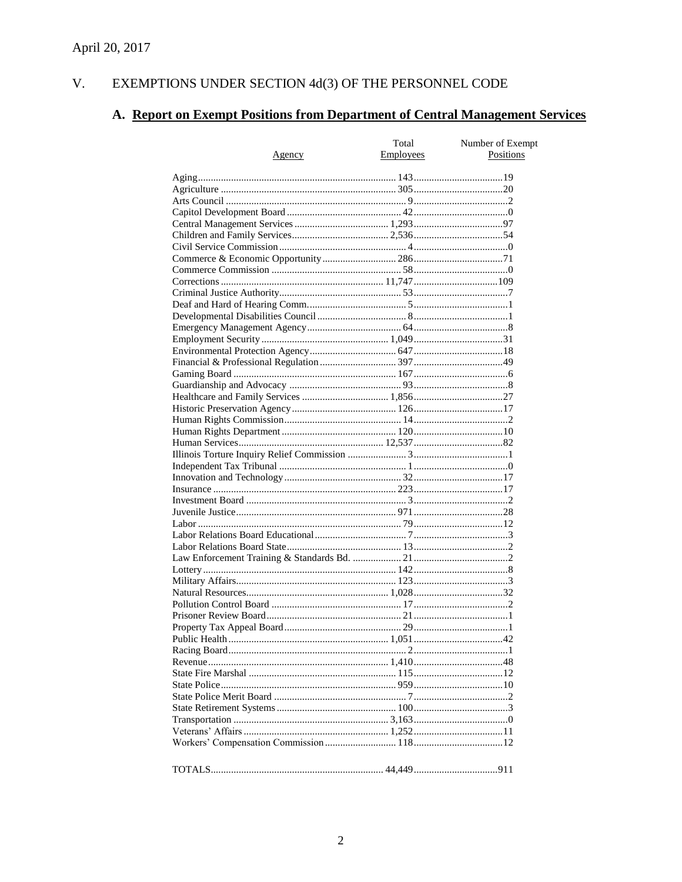#### V. EXEMPTIONS UNDER SECTION  $4d(3)$  OF THE PERSONNEL CODE

# A. Report on Exempt Positions from Department of Central Management Services

| <u>Agency</u> | Total<br>Employees | Number of Exempt<br>Positions |
|---------------|--------------------|-------------------------------|
|               |                    |                               |
|               |                    |                               |
|               |                    |                               |
|               |                    |                               |
|               |                    |                               |
|               |                    |                               |
|               |                    |                               |
|               |                    |                               |
|               |                    |                               |
|               |                    |                               |
|               |                    |                               |
|               |                    |                               |
|               |                    |                               |
|               |                    |                               |
|               |                    |                               |
|               |                    |                               |
|               |                    |                               |
|               |                    |                               |
|               |                    |                               |
|               |                    |                               |
|               |                    |                               |
|               |                    |                               |
|               |                    |                               |
|               |                    |                               |
|               |                    |                               |
|               |                    |                               |
|               |                    |                               |
|               |                    |                               |
|               |                    |                               |
|               |                    |                               |
|               |                    |                               |
|               |                    |                               |
|               |                    |                               |
|               |                    |                               |
|               |                    |                               |
|               |                    |                               |
|               |                    |                               |
|               |                    |                               |
|               |                    |                               |
|               |                    |                               |
|               |                    |                               |
|               |                    |                               |
|               |                    |                               |
|               |                    |                               |
|               |                    |                               |
|               |                    |                               |
|               |                    |                               |
|               |                    |                               |
|               |                    |                               |
|               |                    |                               |
|               |                    |                               |
|               |                    |                               |
|               |                    |                               |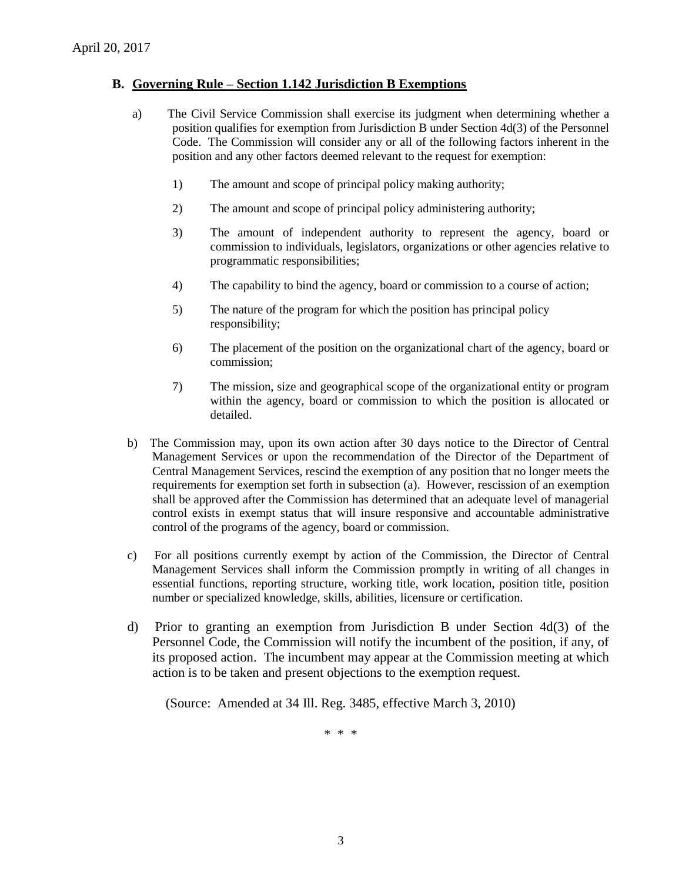### **B. Governing Rule – Section 1.142 Jurisdiction B Exemptions**

- a) The Civil Service Commission shall exercise its judgment when determining whether a position qualifies for exemption from Jurisdiction B under Section 4d(3) of the Personnel Code. The Commission will consider any or all of the following factors inherent in the position and any other factors deemed relevant to the request for exemption:
	- 1) The amount and scope of principal policy making authority;
	- 2) The amount and scope of principal policy administering authority;
	- 3) The amount of independent authority to represent the agency, board or commission to individuals, legislators, organizations or other agencies relative to programmatic responsibilities;
	- 4) The capability to bind the agency, board or commission to a course of action;
	- 5) The nature of the program for which the position has principal policy responsibility;
	- 6) The placement of the position on the organizational chart of the agency, board or commission;
	- 7) The mission, size and geographical scope of the organizational entity or program within the agency, board or commission to which the position is allocated or detailed.
- b) The Commission may, upon its own action after 30 days notice to the Director of Central Management Services or upon the recommendation of the Director of the Department of Central Management Services, rescind the exemption of any position that no longer meets the requirements for exemption set forth in subsection (a). However, rescission of an exemption shall be approved after the Commission has determined that an adequate level of managerial control exists in exempt status that will insure responsive and accountable administrative control of the programs of the agency, board or commission.
- c) For all positions currently exempt by action of the Commission, the Director of Central Management Services shall inform the Commission promptly in writing of all changes in essential functions, reporting structure, working title, work location, position title, position number or specialized knowledge, skills, abilities, licensure or certification.
- d) Prior to granting an exemption from Jurisdiction B under Section 4d(3) of the Personnel Code, the Commission will notify the incumbent of the position, if any, of its proposed action. The incumbent may appear at the Commission meeting at which action is to be taken and present objections to the exemption request.

(Source: Amended at 34 Ill. Reg. 3485, effective March 3, 2010)

\* \* \*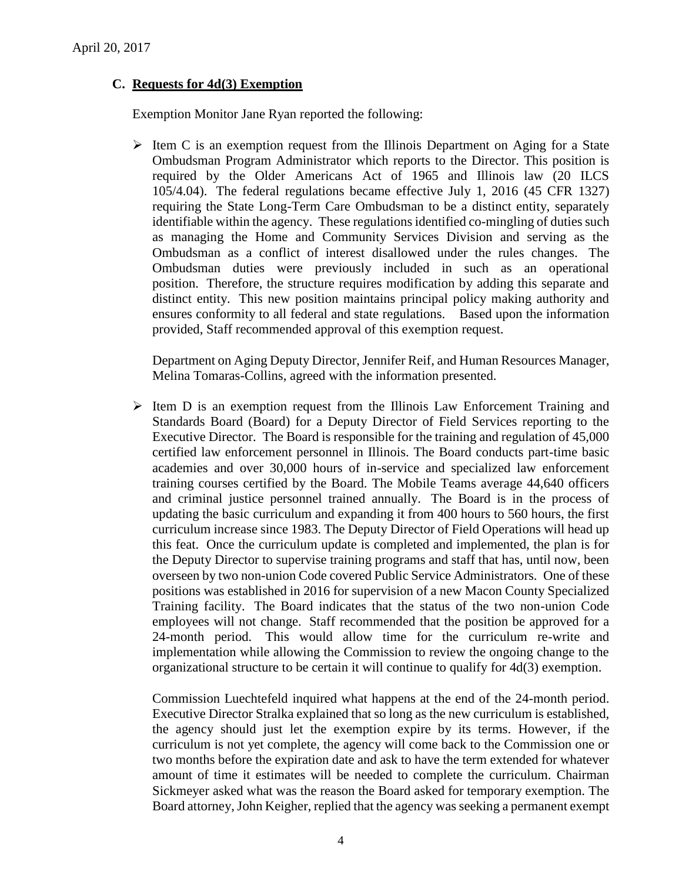# **C. Requests for 4d(3) Exemption**

Exemption Monitor Jane Ryan reported the following:

 $\triangleright$  Item C is an exemption request from the Illinois Department on Aging for a State Ombudsman Program Administrator which reports to the Director. This position is required by the Older Americans Act of 1965 and Illinois law (20 ILCS 105/4.04). The federal regulations became effective July 1, 2016 (45 CFR 1327) requiring the State Long-Term Care Ombudsman to be a distinct entity, separately identifiable within the agency. These regulations identified co-mingling of duties such as managing the Home and Community Services Division and serving as the Ombudsman as a conflict of interest disallowed under the rules changes. The Ombudsman duties were previously included in such as an operational position. Therefore, the structure requires modification by adding this separate and distinct entity. This new position maintains principal policy making authority and ensures conformity to all federal and state regulations. Based upon the information provided, Staff recommended approval of this exemption request.

Department on Aging Deputy Director, Jennifer Reif, and Human Resources Manager, Melina Tomaras-Collins, agreed with the information presented.

 $\triangleright$  Item D is an exemption request from the Illinois Law Enforcement Training and Standards Board (Board) for a Deputy Director of Field Services reporting to the Executive Director. The Board is responsible for the training and regulation of 45,000 certified law enforcement personnel in Illinois. The Board conducts part-time basic academies and over 30,000 hours of in-service and specialized law enforcement training courses certified by the Board. The Mobile Teams average 44,640 officers and criminal justice personnel trained annually. The Board is in the process of updating the basic curriculum and expanding it from 400 hours to 560 hours, the first curriculum increase since 1983. The Deputy Director of Field Operations will head up this feat. Once the curriculum update is completed and implemented, the plan is for the Deputy Director to supervise training programs and staff that has, until now, been overseen by two non-union Code covered Public Service Administrators. One of these positions was established in 2016 for supervision of a new Macon County Specialized Training facility. The Board indicates that the status of the two non-union Code employees will not change. Staff recommended that the position be approved for a 24-month period. This would allow time for the curriculum re-write and implementation while allowing the Commission to review the ongoing change to the organizational structure to be certain it will continue to qualify for 4d(3) exemption.

Commission Luechtefeld inquired what happens at the end of the 24-month period. Executive Director Stralka explained that so long as the new curriculum is established, the agency should just let the exemption expire by its terms. However, if the curriculum is not yet complete, the agency will come back to the Commission one or two months before the expiration date and ask to have the term extended for whatever amount of time it estimates will be needed to complete the curriculum. Chairman Sickmeyer asked what was the reason the Board asked for temporary exemption. The Board attorney, John Keigher, replied that the agency was seeking a permanent exempt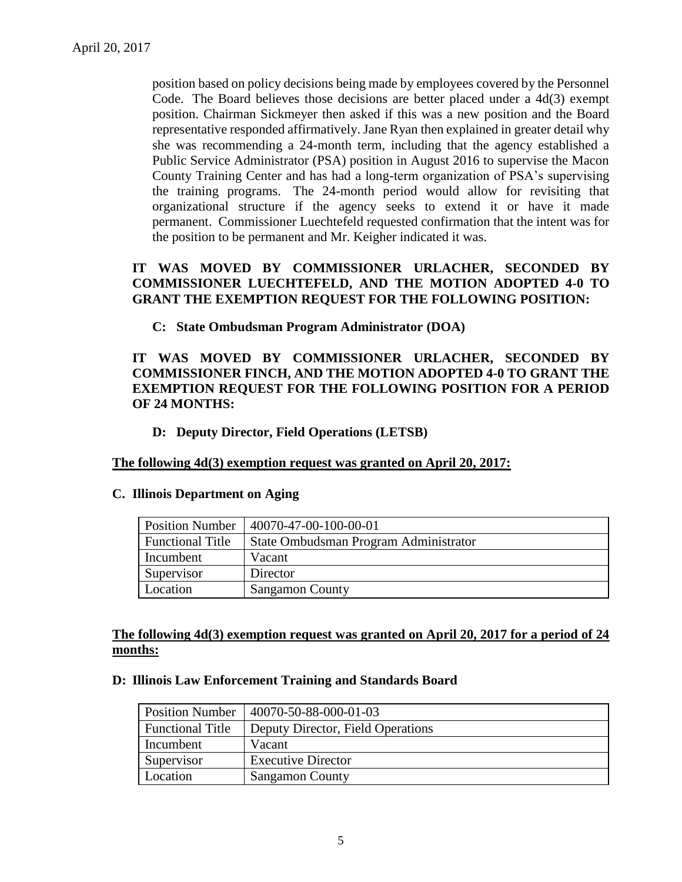position based on policy decisions being made by employees covered by the Personnel Code. The Board believes those decisions are better placed under a 4d(3) exempt position. Chairman Sickmeyer then asked if this was a new position and the Board representative responded affirmatively. Jane Ryan then explained in greater detail why she was recommending a 24-month term, including that the agency established a Public Service Administrator (PSA) position in August 2016 to supervise the Macon County Training Center and has had a long-term organization of PSA's supervising the training programs. The 24-month period would allow for revisiting that organizational structure if the agency seeks to extend it or have it made permanent. Commissioner Luechtefeld requested confirmation that the intent was for the position to be permanent and Mr. Keigher indicated it was.

# **IT WAS MOVED BY COMMISSIONER URLACHER, SECONDED BY COMMISSIONER LUECHTEFELD, AND THE MOTION ADOPTED 4-0 TO GRANT THE EXEMPTION REQUEST FOR THE FOLLOWING POSITION:**

**C: State Ombudsman Program Administrator (DOA)**

# **IT WAS MOVED BY COMMISSIONER URLACHER, SECONDED BY COMMISSIONER FINCH, AND THE MOTION ADOPTED 4-0 TO GRANT THE EXEMPTION REQUEST FOR THE FOLLOWING POSITION FOR A PERIOD OF 24 MONTHS:**

### **D: Deputy Director, Field Operations (LETSB)**

#### **The following 4d(3) exemption request was granted on April 20, 2017:**

#### **C. Illinois Department on Aging**

| <b>Position Number</b>  | 40070-47-00-100-00-01                 |
|-------------------------|---------------------------------------|
| <b>Functional Title</b> | State Ombudsman Program Administrator |
| Incumbent               | Vacant                                |
| Supervisor              | Director                              |
| Location                | <b>Sangamon County</b>                |

# **The following 4d(3) exemption request was granted on April 20, 2017 for a period of 24 months:**

#### **D: Illinois Law Enforcement Training and Standards Board**

| <b>Position Number</b>  | 40070-50-88-000-01-03             |
|-------------------------|-----------------------------------|
| <b>Functional Title</b> | Deputy Director, Field Operations |
| Incumbent               | Vacant                            |
| Supervisor              | <b>Executive Director</b>         |
| Location                | <b>Sangamon County</b>            |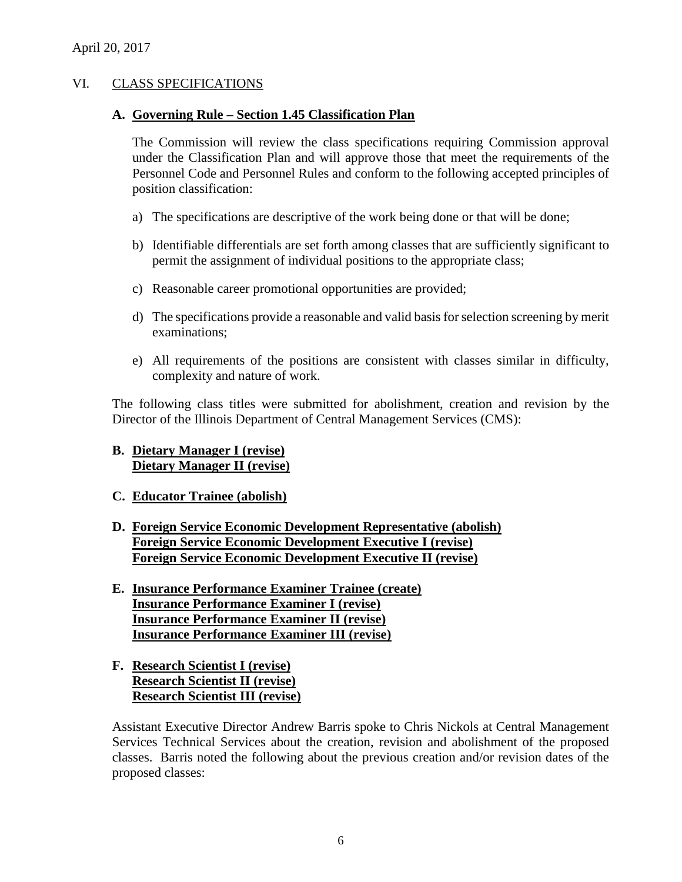# VI. CLASS SPECIFICATIONS

#### **A. Governing Rule – Section 1.45 Classification Plan**

The Commission will review the class specifications requiring Commission approval under the Classification Plan and will approve those that meet the requirements of the Personnel Code and Personnel Rules and conform to the following accepted principles of position classification:

- a) The specifications are descriptive of the work being done or that will be done;
- b) Identifiable differentials are set forth among classes that are sufficiently significant to permit the assignment of individual positions to the appropriate class;
- c) Reasonable career promotional opportunities are provided;
- d) The specifications provide a reasonable and valid basis for selection screening by merit examinations;
- e) All requirements of the positions are consistent with classes similar in difficulty, complexity and nature of work.

The following class titles were submitted for abolishment, creation and revision by the Director of the Illinois Department of Central Management Services (CMS):

- **B. Dietary Manager I (revise) Dietary Manager II (revise)**
- **C. Educator Trainee (abolish)**
- **D. Foreign Service Economic Development Representative (abolish) Foreign Service Economic Development Executive I (revise) Foreign Service Economic Development Executive II (revise)**
- **E. Insurance Performance Examiner Trainee (create) Insurance Performance Examiner I (revise) Insurance Performance Examiner II (revise) Insurance Performance Examiner III (revise)**
- **F. Research Scientist I (revise) Research Scientist II (revise) Research Scientist III (revise)**

Assistant Executive Director Andrew Barris spoke to Chris Nickols at Central Management Services Technical Services about the creation, revision and abolishment of the proposed classes. Barris noted the following about the previous creation and/or revision dates of the proposed classes: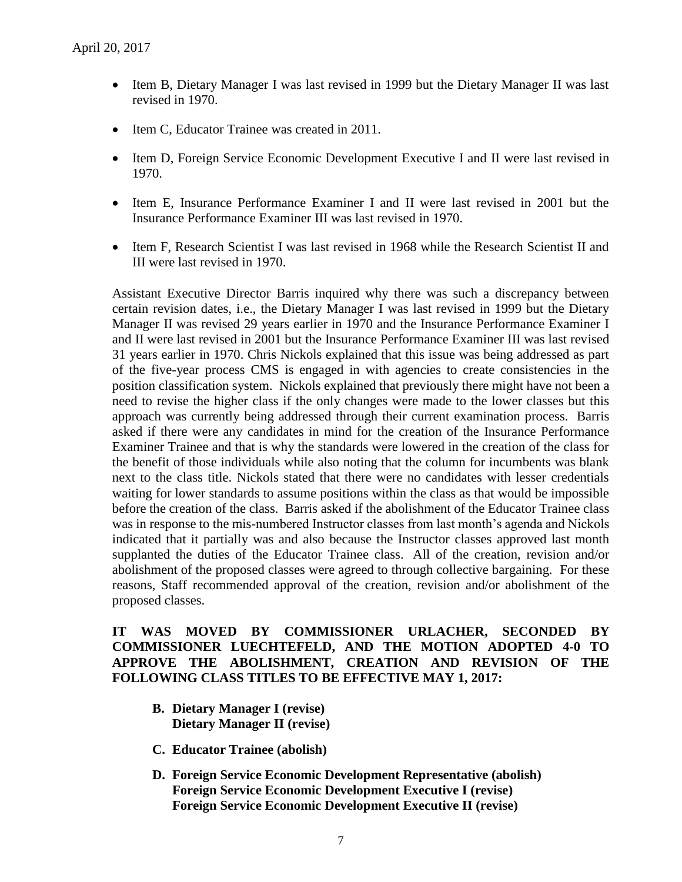- Item B, Dietary Manager I was last revised in 1999 but the Dietary Manager II was last revised in 1970.
- Item C, Educator Trainee was created in 2011.
- Item D, Foreign Service Economic Development Executive I and II were last revised in 1970.
- Item E, Insurance Performance Examiner I and II were last revised in 2001 but the Insurance Performance Examiner III was last revised in 1970.
- Item F, Research Scientist I was last revised in 1968 while the Research Scientist II and III were last revised in 1970.

Assistant Executive Director Barris inquired why there was such a discrepancy between certain revision dates, i.e., the Dietary Manager I was last revised in 1999 but the Dietary Manager II was revised 29 years earlier in 1970 and the Insurance Performance Examiner I and II were last revised in 2001 but the Insurance Performance Examiner III was last revised 31 years earlier in 1970. Chris Nickols explained that this issue was being addressed as part of the five-year process CMS is engaged in with agencies to create consistencies in the position classification system. Nickols explained that previously there might have not been a need to revise the higher class if the only changes were made to the lower classes but this approach was currently being addressed through their current examination process. Barris asked if there were any candidates in mind for the creation of the Insurance Performance Examiner Trainee and that is why the standards were lowered in the creation of the class for the benefit of those individuals while also noting that the column for incumbents was blank next to the class title. Nickols stated that there were no candidates with lesser credentials waiting for lower standards to assume positions within the class as that would be impossible before the creation of the class. Barris asked if the abolishment of the Educator Trainee class was in response to the mis-numbered Instructor classes from last month's agenda and Nickols indicated that it partially was and also because the Instructor classes approved last month supplanted the duties of the Educator Trainee class. All of the creation, revision and/or abolishment of the proposed classes were agreed to through collective bargaining. For these reasons, Staff recommended approval of the creation, revision and/or abolishment of the proposed classes.

# **IT WAS MOVED BY COMMISSIONER URLACHER, SECONDED BY COMMISSIONER LUECHTEFELD, AND THE MOTION ADOPTED 4-0 TO APPROVE THE ABOLISHMENT, CREATION AND REVISION OF THE FOLLOWING CLASS TITLES TO BE EFFECTIVE MAY 1, 2017:**

- **B. Dietary Manager I (revise) Dietary Manager II (revise)**
- **C. Educator Trainee (abolish)**
- **D. Foreign Service Economic Development Representative (abolish) Foreign Service Economic Development Executive I (revise) Foreign Service Economic Development Executive II (revise)**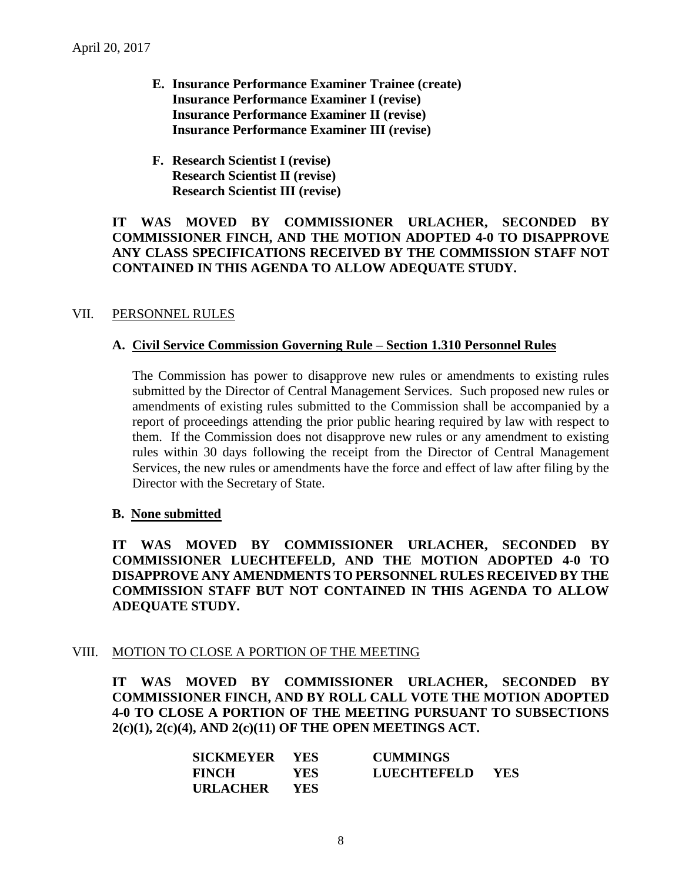- **E. Insurance Performance Examiner Trainee (create) Insurance Performance Examiner I (revise) Insurance Performance Examiner II (revise) Insurance Performance Examiner III (revise)**
- **F. Research Scientist I (revise) Research Scientist II (revise) Research Scientist III (revise)**

### **IT WAS MOVED BY COMMISSIONER URLACHER, SECONDED BY COMMISSIONER FINCH, AND THE MOTION ADOPTED 4-0 TO DISAPPROVE ANY CLASS SPECIFICATIONS RECEIVED BY THE COMMISSION STAFF NOT CONTAINED IN THIS AGENDA TO ALLOW ADEQUATE STUDY.**

# VII. PERSONNEL RULES

#### **A. Civil Service Commission Governing Rule – Section 1.310 Personnel Rules**

The Commission has power to disapprove new rules or amendments to existing rules submitted by the Director of Central Management Services. Such proposed new rules or amendments of existing rules submitted to the Commission shall be accompanied by a report of proceedings attending the prior public hearing required by law with respect to them. If the Commission does not disapprove new rules or any amendment to existing rules within 30 days following the receipt from the Director of Central Management Services, the new rules or amendments have the force and effect of law after filing by the Director with the Secretary of State.

#### **B. None submitted**

**IT WAS MOVED BY COMMISSIONER URLACHER, SECONDED BY COMMISSIONER LUECHTEFELD, AND THE MOTION ADOPTED 4-0 TO DISAPPROVE ANY AMENDMENTS TO PERSONNEL RULES RECEIVED BY THE COMMISSION STAFF BUT NOT CONTAINED IN THIS AGENDA TO ALLOW ADEQUATE STUDY.** 

#### VIII. MOTION TO CLOSE A PORTION OF THE MEETING

**IT WAS MOVED BY COMMISSIONER URLACHER, SECONDED BY COMMISSIONER FINCH, AND BY ROLL CALL VOTE THE MOTION ADOPTED 4-0 TO CLOSE A PORTION OF THE MEETING PURSUANT TO SUBSECTIONS 2(c)(1), 2(c)(4), AND 2(c)(11) OF THE OPEN MEETINGS ACT.**

| SICKMEYER YES   |      | <b>CUMMINGS</b>    |            |
|-----------------|------|--------------------|------------|
| <b>FINCH</b>    | YES. | <b>LUECHTEFELD</b> | <b>YES</b> |
| <b>URLACHER</b> | YES. |                    |            |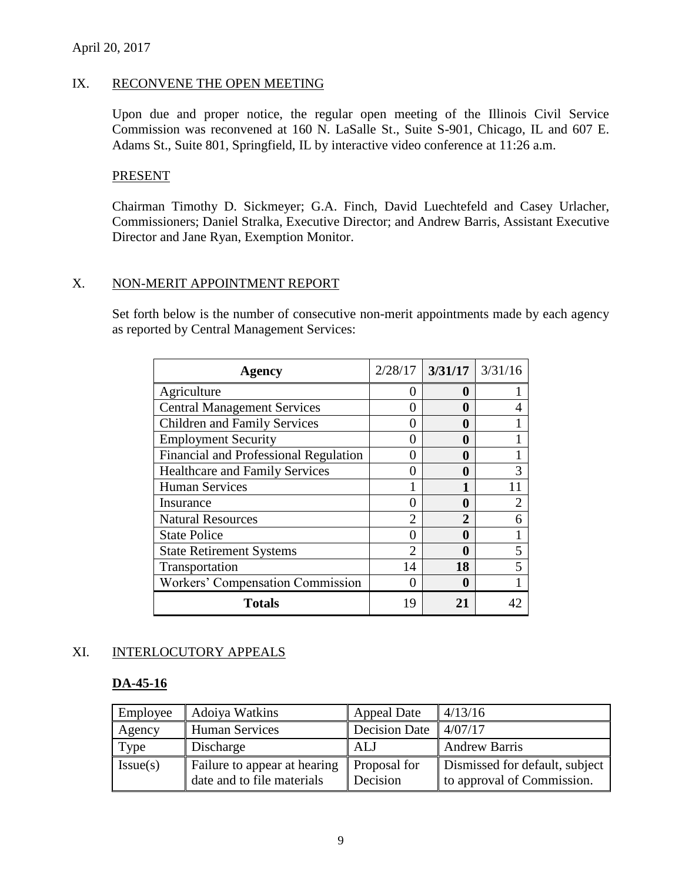# IX. RECONVENE THE OPEN MEETING

Upon due and proper notice, the regular open meeting of the Illinois Civil Service Commission was reconvened at 160 N. LaSalle St., Suite S-901, Chicago, IL and 607 E. Adams St., Suite 801, Springfield, IL by interactive video conference at 11:26 a.m.

#### PRESENT

Chairman Timothy D. Sickmeyer; G.A. Finch, David Luechtefeld and Casey Urlacher, Commissioners; Daniel Stralka, Executive Director; and Andrew Barris, Assistant Executive Director and Jane Ryan, Exemption Monitor.

### X. NON-MERIT APPOINTMENT REPORT

Set forth below is the number of consecutive non-merit appointments made by each agency as reported by Central Management Services:

| <b>Agency</b>                           | 2/28/17        | $3/31/17$ $3/31/16$ |   |
|-----------------------------------------|----------------|---------------------|---|
| Agriculture                             | 0              | 0                   |   |
| <b>Central Management Services</b>      | $_{0}$         | 0                   |   |
| <b>Children and Family Services</b>     | 0              | 0                   |   |
| <b>Employment Security</b>              | 0              | 0                   |   |
| Financial and Professional Regulation   | 0              | 0                   |   |
| <b>Healthcare and Family Services</b>   | 0              | 0                   |   |
| <b>Human Services</b>                   |                |                     |   |
| Insurance                               | 0              | 0                   | 2 |
| <b>Natural Resources</b>                | $\mathfrak{D}$ | $\mathbf{2}$        |   |
| <b>State Police</b>                     | 0              | 0                   |   |
| <b>State Retirement Systems</b>         | $\overline{2}$ | 0                   | 5 |
| Transportation                          | 14             | 18                  |   |
| <b>Workers' Compensation Commission</b> | 0              | 0                   |   |
| <b>Totals</b>                           | 19             | 21                  |   |

# XI. INTERLOCUTORY APPEALS

#### **DA-45-16**

| Employee | Adoiya Watkins                                             | <b>Appeal Date</b>                | 4/13/16                                                      |
|----------|------------------------------------------------------------|-----------------------------------|--------------------------------------------------------------|
| Agency   | <b>Human Services</b>                                      | Decision Date $\parallel$ 4/07/17 |                                                              |
| Type     | Discharge                                                  | <b>ALJ</b>                        | <b>Andrew Barris</b>                                         |
| Issue(s) | Failure to appear at hearing<br>date and to file materials | Proposal for<br>Decision          | Dismissed for default, subject<br>to approval of Commission. |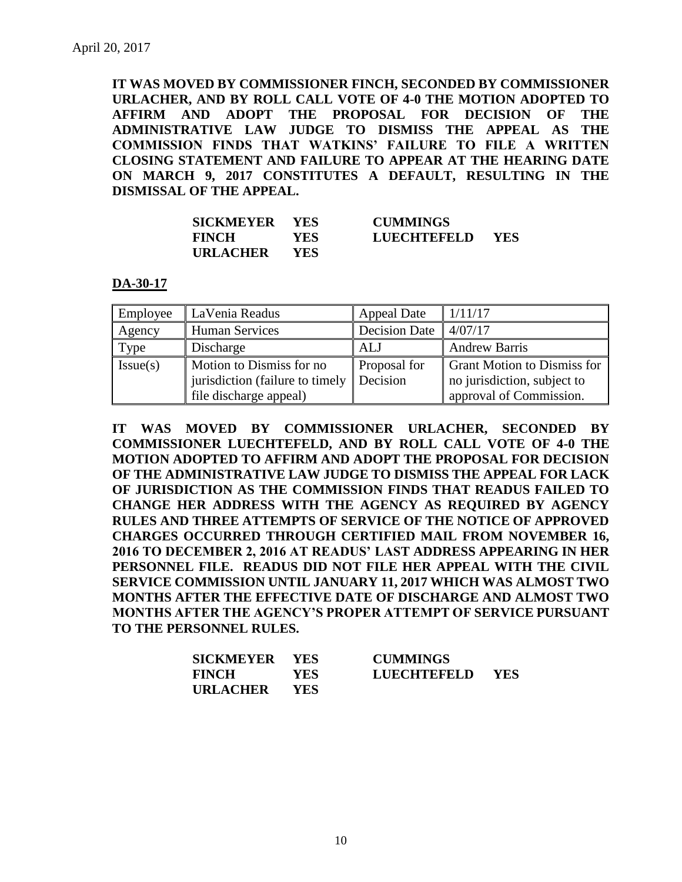**IT WAS MOVED BY COMMISSIONER FINCH, SECONDED BY COMMISSIONER URLACHER, AND BY ROLL CALL VOTE OF 4-0 THE MOTION ADOPTED TO AFFIRM AND ADOPT THE PROPOSAL FOR DECISION OF THE ADMINISTRATIVE LAW JUDGE TO DISMISS THE APPEAL AS THE COMMISSION FINDS THAT WATKINS' FAILURE TO FILE A WRITTEN CLOSING STATEMENT AND FAILURE TO APPEAR AT THE HEARING DATE ON MARCH 9, 2017 CONSTITUTES A DEFAULT, RESULTING IN THE DISMISSAL OF THE APPEAL.**

| SICKMEYER YES   |            | <b>CUMMINGS</b> |            |
|-----------------|------------|-----------------|------------|
| <b>FINCH</b>    | YES.       | LUECHTEFELD     | <b>YES</b> |
| <b>URLACHER</b> | <b>YES</b> |                 |            |

#### **DA-30-17**

| Employee | LaVenia Readus                                                                        | <b>Appeal Date</b>       | 1/11/17                                                                                      |
|----------|---------------------------------------------------------------------------------------|--------------------------|----------------------------------------------------------------------------------------------|
| Agency   | <b>Human Services</b>                                                                 | <b>Decision Date</b>     | 4/07/17                                                                                      |
| Type     | Discharge                                                                             | ALJ                      | <b>Andrew Barris</b>                                                                         |
| Issue(s) | Motion to Dismiss for no<br>jurisdiction (failure to timely<br>file discharge appeal) | Proposal for<br>Decision | <b>Grant Motion to Dismiss for</b><br>no jurisdiction, subject to<br>approval of Commission. |

**IT WAS MOVED BY COMMISSIONER URLACHER, SECONDED BY COMMISSIONER LUECHTEFELD, AND BY ROLL CALL VOTE OF 4-0 THE MOTION ADOPTED TO AFFIRM AND ADOPT THE PROPOSAL FOR DECISION OF THE ADMINISTRATIVE LAW JUDGE TO DISMISS THE APPEAL FOR LACK OF JURISDICTION AS THE COMMISSION FINDS THAT READUS FAILED TO CHANGE HER ADDRESS WITH THE AGENCY AS REQUIRED BY AGENCY RULES AND THREE ATTEMPTS OF SERVICE OF THE NOTICE OF APPROVED CHARGES OCCURRED THROUGH CERTIFIED MAIL FROM NOVEMBER 16, 2016 TO DECEMBER 2, 2016 AT READUS' LAST ADDRESS APPEARING IN HER PERSONNEL FILE. READUS DID NOT FILE HER APPEAL WITH THE CIVIL SERVICE COMMISSION UNTIL JANUARY 11, 2017 WHICH WAS ALMOST TWO MONTHS AFTER THE EFFECTIVE DATE OF DISCHARGE AND ALMOST TWO MONTHS AFTER THE AGENCY'S PROPER ATTEMPT OF SERVICE PURSUANT TO THE PERSONNEL RULES.** 

| SICKMEYER YES   |      | <b>CUMMINGS</b>    |            |
|-----------------|------|--------------------|------------|
| <b>FINCH</b>    | YES  | <b>LUECHTEFELD</b> | <b>YES</b> |
| <b>URLACHER</b> | YES. |                    |            |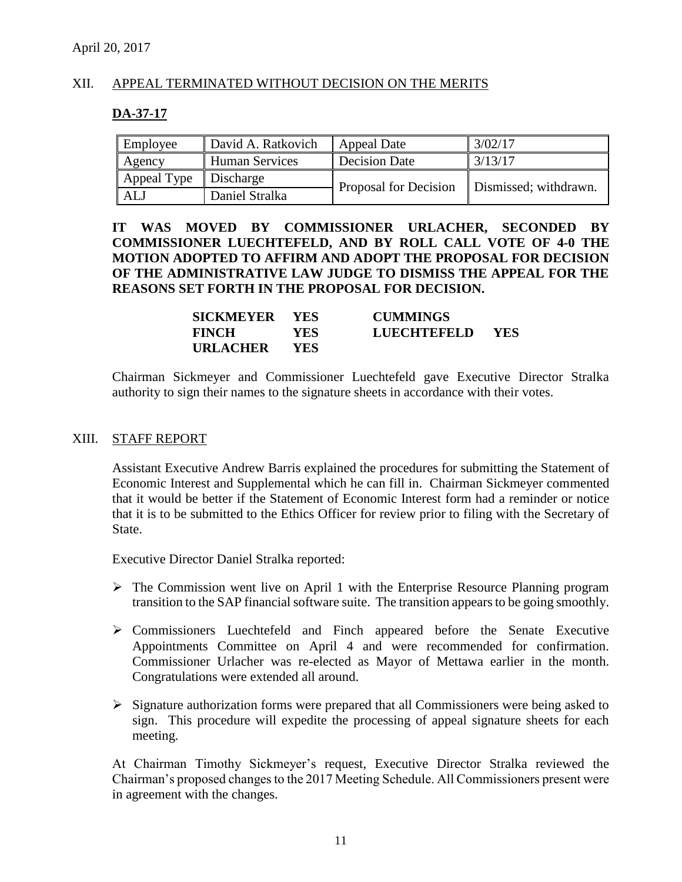# XII. APPEAL TERMINATED WITHOUT DECISION ON THE MERITS

#### **DA-37-17**

| Employee    | David A. Ratkovich    | <b>Appeal Date</b>    | 3/02/17               |
|-------------|-----------------------|-----------------------|-----------------------|
| Agency      | <b>Human Services</b> | <b>Decision Date</b>  | 3/13/17               |
| Appeal Type | Discharge             | Proposal for Decision | Dismissed; withdrawn. |
| ALJ         | Daniel Stralka        |                       |                       |

**IT WAS MOVED BY COMMISSIONER URLACHER, SECONDED BY COMMISSIONER LUECHTEFELD, AND BY ROLL CALL VOTE OF 4-0 THE MOTION ADOPTED TO AFFIRM AND ADOPT THE PROPOSAL FOR DECISION OF THE ADMINISTRATIVE LAW JUDGE TO DISMISS THE APPEAL FOR THE REASONS SET FORTH IN THE PROPOSAL FOR DECISION.**

| SICKMEYER YES   |      | <b>CUMMINGS</b> |       |
|-----------------|------|-----------------|-------|
| <b>FINCH</b>    | YES. | LUECHTEFELD     | - YES |
| <b>URLACHER</b> | YES. |                 |       |

Chairman Sickmeyer and Commissioner Luechtefeld gave Executive Director Stralka authority to sign their names to the signature sheets in accordance with their votes.

#### XIII. STAFF REPORT

Assistant Executive Andrew Barris explained the procedures for submitting the Statement of Economic Interest and Supplemental which he can fill in. Chairman Sickmeyer commented that it would be better if the Statement of Economic Interest form had a reminder or notice that it is to be submitted to the Ethics Officer for review prior to filing with the Secretary of State.

Executive Director Daniel Stralka reported:

- $\triangleright$  The Commission went live on April 1 with the Enterprise Resource Planning program transition to the SAP financial software suite. The transition appears to be going smoothly.
- $\triangleright$  Commissioners Luechtefeld and Finch appeared before the Senate Executive Appointments Committee on April 4 and were recommended for confirmation. Commissioner Urlacher was re-elected as Mayor of Mettawa earlier in the month. Congratulations were extended all around.
- $\triangleright$  Signature authorization forms were prepared that all Commissioners were being asked to sign. This procedure will expedite the processing of appeal signature sheets for each meeting.

At Chairman Timothy Sickmeyer's request, Executive Director Stralka reviewed the Chairman's proposed changes to the 2017 Meeting Schedule. All Commissioners present were in agreement with the changes.